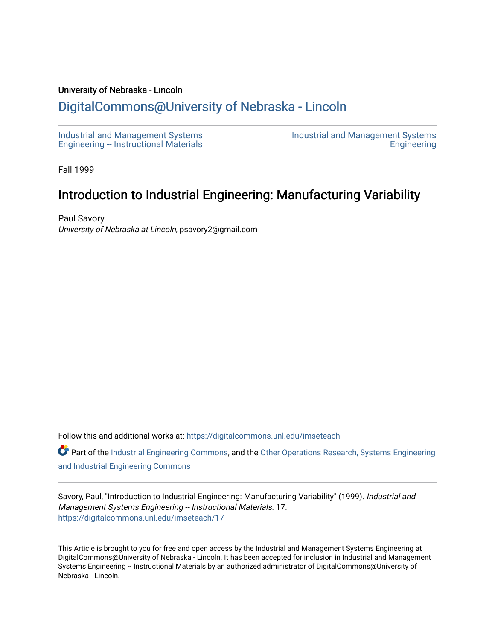#### University of Nebraska - Lincoln

# [DigitalCommons@University of Nebraska - Lincoln](https://digitalcommons.unl.edu/)

[Industrial and Management Systems](https://digitalcommons.unl.edu/imseteach)  [Engineering -- Instructional Materials](https://digitalcommons.unl.edu/imseteach)  [Industrial and Management Systems](https://digitalcommons.unl.edu/imse)  **Engineering** 

Fall 1999

# Introduction to Industrial Engineering: Manufacturing Variability

Paul Savory University of Nebraska at Lincoln, psavory2@gmail.com

Follow this and additional works at: [https://digitalcommons.unl.edu/imseteach](https://digitalcommons.unl.edu/imseteach?utm_source=digitalcommons.unl.edu%2Fimseteach%2F17&utm_medium=PDF&utm_campaign=PDFCoverPages) 

Part of the [Industrial Engineering Commons](http://network.bepress.com/hgg/discipline/307?utm_source=digitalcommons.unl.edu%2Fimseteach%2F17&utm_medium=PDF&utm_campaign=PDFCoverPages), and the Other Operations Research, Systems Engineering [and Industrial Engineering Commons](http://network.bepress.com/hgg/discipline/310?utm_source=digitalcommons.unl.edu%2Fimseteach%2F17&utm_medium=PDF&utm_campaign=PDFCoverPages) 

Savory, Paul, "Introduction to Industrial Engineering: Manufacturing Variability" (1999). Industrial and Management Systems Engineering -- Instructional Materials. 17. [https://digitalcommons.unl.edu/imseteach/17](https://digitalcommons.unl.edu/imseteach/17?utm_source=digitalcommons.unl.edu%2Fimseteach%2F17&utm_medium=PDF&utm_campaign=PDFCoverPages)

This Article is brought to you for free and open access by the Industrial and Management Systems Engineering at DigitalCommons@University of Nebraska - Lincoln. It has been accepted for inclusion in Industrial and Management Systems Engineering -- Instructional Materials by an authorized administrator of DigitalCommons@University of Nebraska - Lincoln.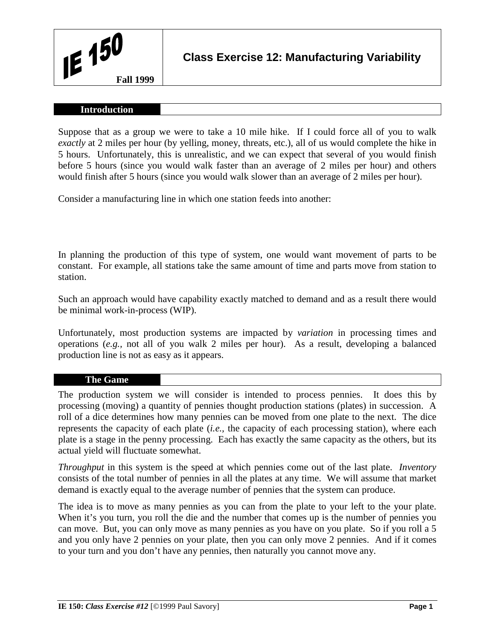#### **Introduction**

Suppose that as a group we were to take a 10 mile hike. If I could force all of you to walk *exactly* at 2 miles per hour (by yelling, money, threats, etc.), all of us would complete the hike in 5 hours. Unfortunately, this is unrealistic, and we can expect that several of you would finish before 5 hours (since you would walk faster than an average of 2 miles per hour) and others would finish after 5 hours (since you would walk slower than an average of 2 miles per hour).

Consider a manufacturing line in which one station feeds into another:

In planning the production of this type of system, one would want movement of parts to be constant. For example, all stations take the same amount of time and parts move from station to station.

Such an approach would have capability exactly matched to demand and as a result there would be minimal work-in-process (WIP).

Unfortunately, most production systems are impacted by *variation* in processing times and operations (*e.g.,* not all of you walk 2 miles per hour). As a result, developing a balanced production line is not as easy as it appears.

## **The Game**

The production system we will consider is intended to process pennies. It does this by processing (moving) a quantity of pennies thought production stations (plates) in succession. A roll of a dice determines how many pennies can be moved from one plate to the next. The dice represents the capacity of each plate (*i.e.,* the capacity of each processing station), where each plate is a stage in the penny processing. Each has exactly the same capacity as the others, but its actual yield will fluctuate somewhat.

*Throughput* in this system is the speed at which pennies come out of the last plate. *Inventory* consists of the total number of pennies in all the plates at any time. We will assume that market demand is exactly equal to the average number of pennies that the system can produce.

The idea is to move as many pennies as you can from the plate to your left to the your plate. When it's you turn, you roll the die and the number that comes up is the number of pennies you can move. But, you can only move as many pennies as you have on you plate. So if you roll a 5 and you only have 2 pennies on your plate, then you can only move 2 pennies. And if it comes to your turn and you don't have any pennies, then naturally you cannot move any.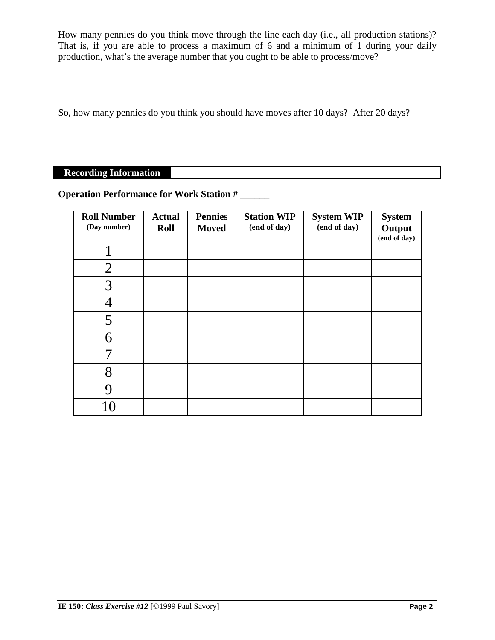How many pennies do you think move through the line each day (i.e., all production stations)? That is, if you are able to process a maximum of 6 and a minimum of 1 during your daily production, what's the average number that you ought to be able to process/move?

So, how many pennies do you think you should have moves after 10 days? After 20 days?

# **Recording Information**

# **Operation Performance for Work Station # \_\_\_\_\_\_**

| <b>Roll Number</b><br>(Day number) | <b>Actual</b><br>Roll | <b>Pennies</b><br><b>Moved</b> | <b>Station WIP</b><br>(end of day) | <b>System WIP</b><br>(end of day) | <b>System</b><br>Output<br>(end of day) |
|------------------------------------|-----------------------|--------------------------------|------------------------------------|-----------------------------------|-----------------------------------------|
|                                    |                       |                                |                                    |                                   |                                         |
| $\overline{2}$                     |                       |                                |                                    |                                   |                                         |
| 3                                  |                       |                                |                                    |                                   |                                         |
|                                    |                       |                                |                                    |                                   |                                         |
| 5                                  |                       |                                |                                    |                                   |                                         |
| 6                                  |                       |                                |                                    |                                   |                                         |
|                                    |                       |                                |                                    |                                   |                                         |
| 8                                  |                       |                                |                                    |                                   |                                         |
|                                    |                       |                                |                                    |                                   |                                         |
|                                    |                       |                                |                                    |                                   |                                         |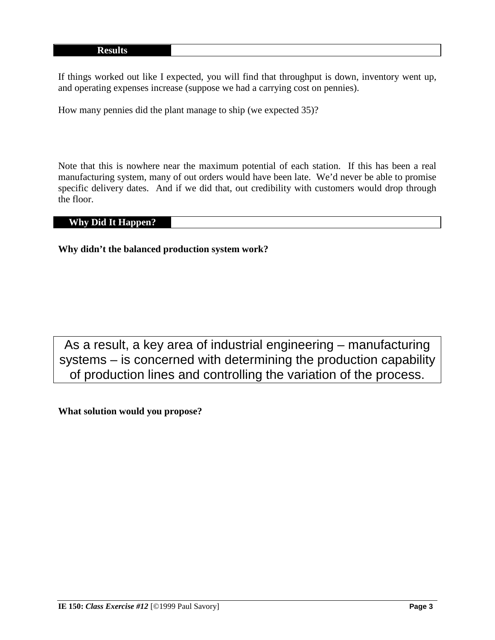If things worked out like I expected, you will find that throughput is down, inventory went up, and operating expenses increase (suppose we had a carrying cost on pennies).

How many pennies did the plant manage to ship (we expected 35)?

Note that this is nowhere near the maximum potential of each station. If this has been a real manufacturing system, many of out orders would have been late. We'd never be able to promise specific delivery dates. And if we did that, out credibility with customers would drop through the floor.

### **Why Did It Happen?**

**Why didn't the balanced production system work?**

As a result, a key area of industrial engineering – manufacturing systems – is concerned with determining the production capability of production lines and controlling the variation of the process.

**What solution would you propose?**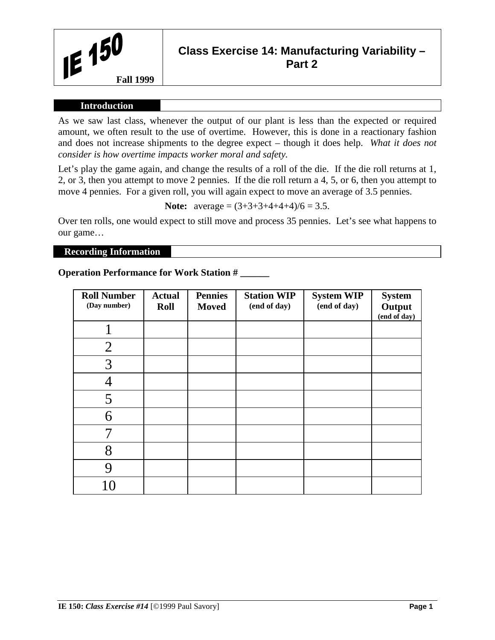

# **Class Exercise 14: Manufacturing Variability – Part 2**

### **Introduction**

As we saw last class, whenever the output of our plant is less than the expected or required amount, we often result to the use of overtime. However, this is done in a reactionary fashion and does not increase shipments to the degree expect – though it does help. *What it does not consider is how overtime impacts worker moral and safety.*

Let's play the game again, and change the results of a roll of the die. If the die roll returns at 1, 2, or 3, then you attempt to move 2 pennies. If the die roll return a 4, 5, or 6, then you attempt to move 4 pennies. For a given roll, you will again expect to move an average of 3.5 pennies.

**Note:**  $average = (3+3+3+4+4+4)/6 = 3.5$ .

Over ten rolls, one would expect to still move and process 35 pennies. Let's see what happens to our game…

## **Recording Information**

## **Operation Performance for Work Station # \_\_\_\_\_\_**

| <b>Roll Number</b><br>(Day number) | <b>Actual</b><br><b>Roll</b> | <b>Pennies</b><br><b>Moved</b> | <b>Station WIP</b><br>(end of day) | <b>System WIP</b><br>(end of day) | <b>System</b><br>Output<br>(end of day) |
|------------------------------------|------------------------------|--------------------------------|------------------------------------|-----------------------------------|-----------------------------------------|
|                                    |                              |                                |                                    |                                   |                                         |
| $\overline{2}$                     |                              |                                |                                    |                                   |                                         |
| 3                                  |                              |                                |                                    |                                   |                                         |
|                                    |                              |                                |                                    |                                   |                                         |
| 5                                  |                              |                                |                                    |                                   |                                         |
| 6                                  |                              |                                |                                    |                                   |                                         |
|                                    |                              |                                |                                    |                                   |                                         |
| 8                                  |                              |                                |                                    |                                   |                                         |
| 9                                  |                              |                                |                                    |                                   |                                         |
|                                    |                              |                                |                                    |                                   |                                         |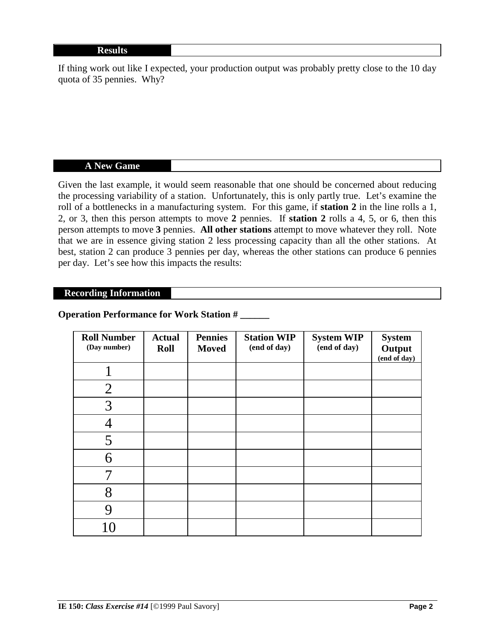If thing work out like I expected, your production output was probably pretty close to the 10 day quota of 35 pennies. Why?

#### **A New Game**

Given the last example, it would seem reasonable that one should be concerned about reducing the processing variability of a station. Unfortunately, this is only partly true. Let's examine the roll of a bottlenecks in a manufacturing system. For this game, if **station 2** in the line rolls a 1, 2, or 3, then this person attempts to move **2** pennies. If **station 2** rolls a 4, 5, or 6, then this person attempts to move **3** pennies. **All other stations** attempt to move whatever they roll. Note that we are in essence giving station 2 less processing capacity than all the other stations. At best, station 2 can produce 3 pennies per day, whereas the other stations can produce 6 pennies per day. Let's see how this impacts the results:

### **Recording Information**

# **Operation Performance for Work Station # \_\_\_\_\_\_**

| <b>Roll Number</b><br>(Day number) | <b>Actual</b><br><b>Roll</b> | <b>Pennies</b><br><b>Moved</b> | <b>Station WIP</b><br>(end of day) | <b>System WIP</b><br>(end of day) | <b>System</b><br>Output<br>$\left(\text{end of day}\right)$ |
|------------------------------------|------------------------------|--------------------------------|------------------------------------|-----------------------------------|-------------------------------------------------------------|
|                                    |                              |                                |                                    |                                   |                                                             |
| $\overline{2}$                     |                              |                                |                                    |                                   |                                                             |
| 3                                  |                              |                                |                                    |                                   |                                                             |
|                                    |                              |                                |                                    |                                   |                                                             |
| 5                                  |                              |                                |                                    |                                   |                                                             |
| 6                                  |                              |                                |                                    |                                   |                                                             |
|                                    |                              |                                |                                    |                                   |                                                             |
| 8                                  |                              |                                |                                    |                                   |                                                             |
| 9                                  |                              |                                |                                    |                                   |                                                             |
| 10                                 |                              |                                |                                    |                                   |                                                             |